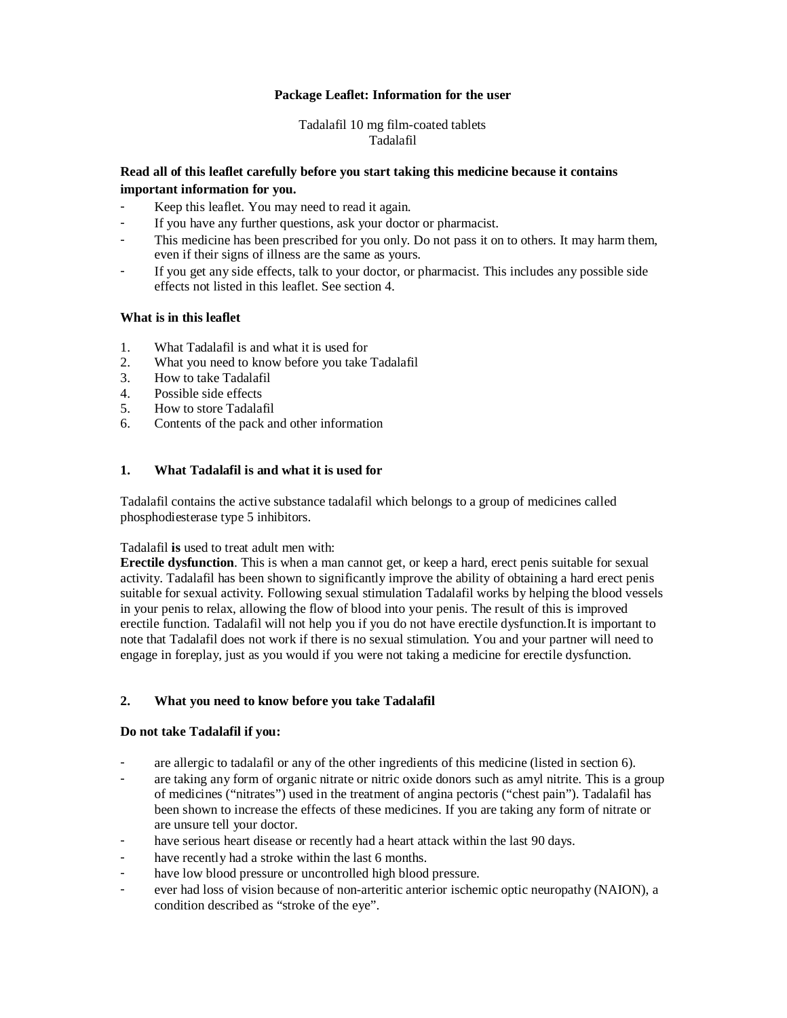## **Package Leaflet: Information for the user**

### Tadalafil 10 mg film-coated tablets Tadalafil

# **Read all of this leaflet carefully before you start taking this medicine because it contains important information for you.**

- Keep this leaflet. You may need to read it again.
- If you have any further questions, ask your doctor or pharmacist.
- This medicine has been prescribed for you only. Do not pass it on to others. It may harm them, even if their signs of illness are the same as yours.
- If you get any side effects, talk to your doctor, or pharmacist. This includes any possible side effects not listed in this leaflet. See section 4.

### **What is in this leaflet**

- 1. What Tadalafil is and what it is used for
- 2. What you need to know before you take Tadalafil
- 3. How to take Tadalafil
- 4. Possible side effects
- 5. How to store Tadalafil
- 6. Contents of the pack and other information

## **1. What Tadalafil is and what it is used for**

Tadalafil contains the active substance tadalafil which belongs to a group of medicines called phosphodiesterase type 5 inhibitors.

#### Tadalafil **is** used to treat adult men with:

**Erectile dysfunction**. This is when a man cannot get, or keep a hard, erect penis suitable for sexual activity. Tadalafil has been shown to significantly improve the ability of obtaining a hard erect penis suitable for sexual activity. Following sexual stimulation Tadalafil works by helping the blood vessels in your penis to relax, allowing the flow of blood into your penis. The result of this is improved erectile function. Tadalafil will not help you if you do not have erectile dysfunction.It is important to note that Tadalafil does not work if there is no sexual stimulation. You and your partner will need to engage in foreplay, just as you would if you were not taking a medicine for erectile dysfunction.

# **2. What you need to know before you take Tadalafil**

#### **Do not take Tadalafil if you:**

- are allergic to tadalafil or any of the other ingredients of this medicine (listed in section 6).
- are taking any form of organic nitrate or nitric oxide donors such as amyl nitrite. This is a group of medicines ("nitrates") used in the treatment of angina pectoris ("chest pain"). Tadalafil has been shown to increase the effects of these medicines. If you are taking any form of nitrate or are unsure tell your doctor.
- have serious heart disease or recently had a heart attack within the last 90 days.
- have recently had a stroke within the last 6 months.
- have low blood pressure or uncontrolled high blood pressure.
- ever had loss of vision because of non-arteritic anterior ischemic optic neuropathy (NAION), a condition described as "stroke of the eye".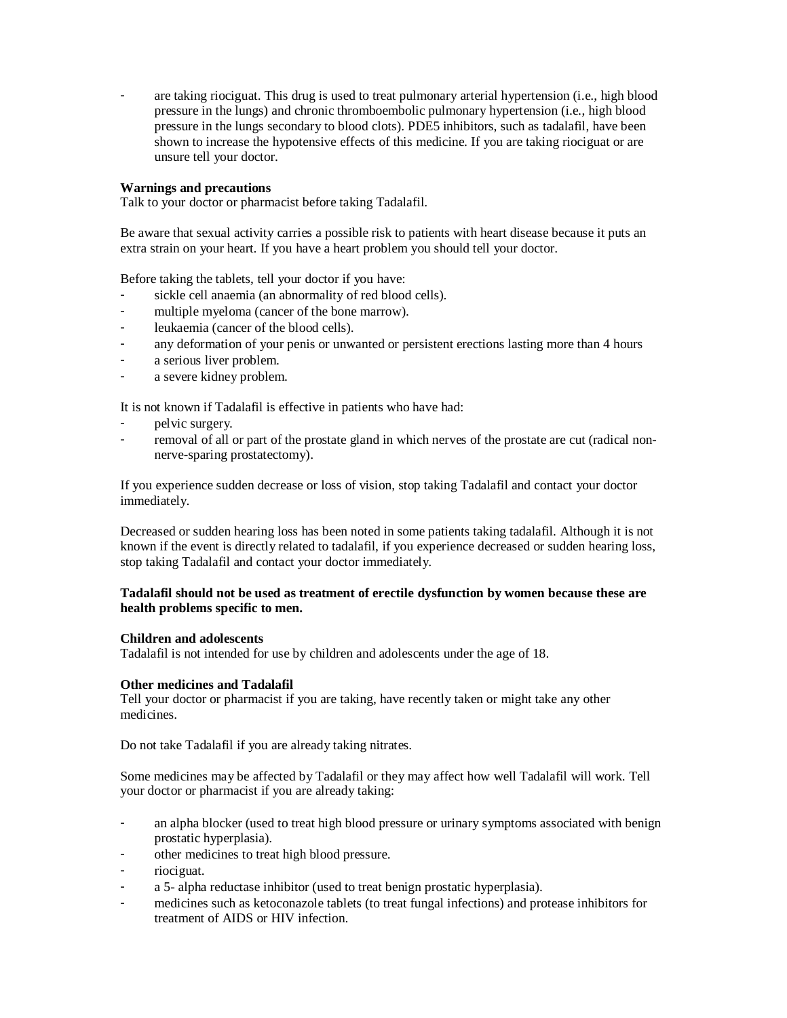are taking riociguat. This drug is used to treat pulmonary arterial hypertension (i.e., high blood pressure in the lungs) and chronic thromboembolic pulmonary hypertension (i.e., high blood pressure in the lungs secondary to blood clots). PDE5 inhibitors, such as tadalafil, have been shown to increase the hypotensive effects of this medicine. If you are taking riociguat or are unsure tell your doctor.

### **Warnings and precautions**

Talk to your doctor or pharmacist before taking Tadalafil.

Be aware that sexual activity carries a possible risk to patients with heart disease because it puts an extra strain on your heart. If you have a heart problem you should tell your doctor.

Before taking the tablets, tell your doctor if you have:

- sickle cell anaemia (an abnormality of red blood cells).
- multiple myeloma (cancer of the bone marrow).
- leukaemia (cancer of the blood cells).
- any deformation of your penis or unwanted or persistent erections lasting more than 4 hours
- a serious liver problem.
- a severe kidney problem.

It is not known if Tadalafil is effective in patients who have had:

- pelvic surgery.
- removal of all or part of the prostate gland in which nerves of the prostate are cut (radical nonnerve-sparing prostatectomy).

If you experience sudden decrease or loss of vision, stop taking Tadalafil and contact your doctor immediately.

Decreased or sudden hearing loss has been noted in some patients taking tadalafil. Although it is not known if the event is directly related to tadalafil, if you experience decreased or sudden hearing loss, stop taking Tadalafil and contact your doctor immediately.

#### **Tadalafil should not be used as treatment of erectile dysfunction by women because these are health problems specific to men.**

#### **Children and adolescents**

Tadalafil is not intended for use by children and adolescents under the age of 18.

#### **Other medicines and Tadalafil**

Tell your doctor or pharmacist if you are taking, have recently taken or might take any other medicines.

Do not take Tadalafil if you are already taking nitrates.

Some medicines may be affected by Tadalafil or they may affect how well Tadalafil will work. Tell your doctor or pharmacist if you are already taking:

- an alpha blocker (used to treat high blood pressure or urinary symptoms associated with benign prostatic hyperplasia).
- other medicines to treat high blood pressure.
- riociguat.
- a 5- alpha reductase inhibitor (used to treat benign prostatic hyperplasia).
- medicines such as ketoconazole tablets (to treat fungal infections) and protease inhibitors for treatment of AIDS or HIV infection.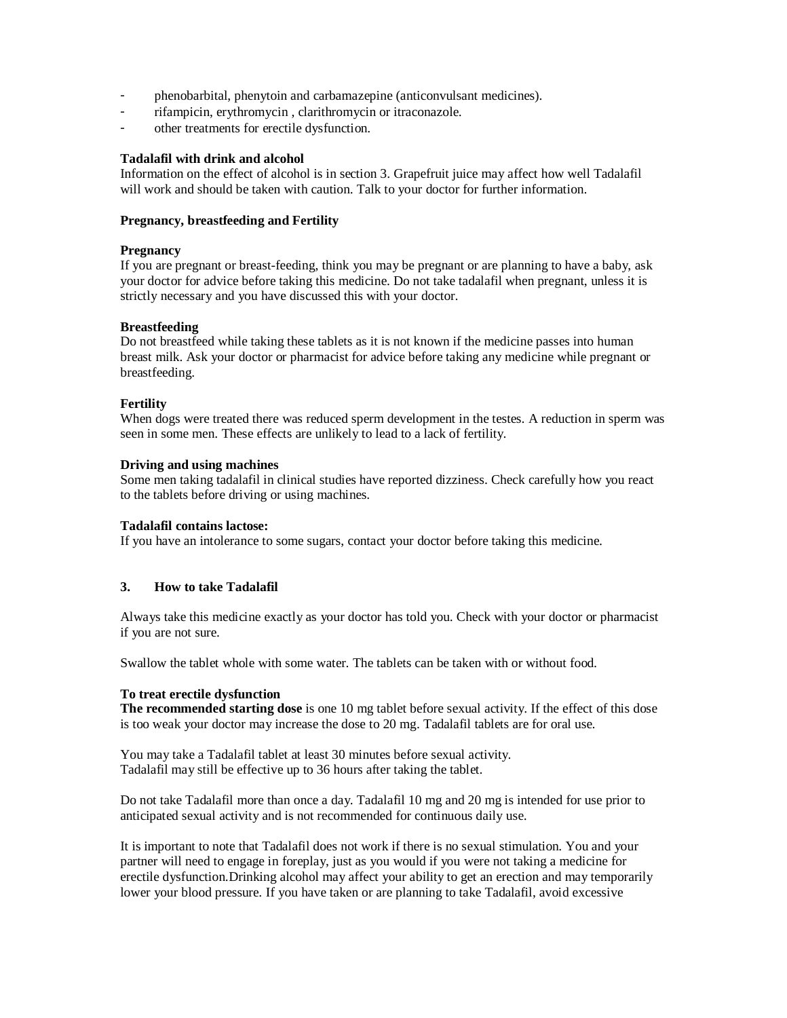- phenobarbital, phenytoin and carbamazepine (anticonvulsant medicines).
- rifampicin, erythromycin , clarithromycin or itraconazole.
- other treatments for erectile dysfunction.

### **Tadalafil with drink and alcohol**

Information on the effect of alcohol is in section 3. Grapefruit juice may affect how well Tadalafil will work and should be taken with caution. Talk to your doctor for further information.

### **Pregnancy, breastfeeding and Fertility**

### **Pregnancy**

If you are pregnant or breast-feeding, think you may be pregnant or are planning to have a baby, ask your doctor for advice before taking this medicine. Do not take tadalafil when pregnant, unless it is strictly necessary and you have discussed this with your doctor.

## **Breastfeeding**

Do not breastfeed while taking these tablets as it is not known if the medicine passes into human breast milk. Ask your doctor or pharmacist for advice before taking any medicine while pregnant or breastfeeding.

## **Fertility**

When dogs were treated there was reduced sperm development in the testes. A reduction in sperm was seen in some men. These effects are unlikely to lead to a lack of fertility.

#### **Driving and using machines**

Some men taking tadalafil in clinical studies have reported dizziness. Check carefully how you react to the tablets before driving or using machines.

#### **Tadalafil contains lactose:**

If you have an intolerance to some sugars, contact your doctor before taking this medicine.

# **3. How to take Tadalafil**

Always take this medicine exactly as your doctor has told you. Check with your doctor or pharmacist if you are not sure.

Swallow the tablet whole with some water. The tablets can be taken with or without food.

#### **To treat erectile dysfunction**

**The recommended starting dose** is one 10 mg tablet before sexual activity. If the effect of this dose is too weak your doctor may increase the dose to 20 mg. Tadalafil tablets are for oral use.

You may take a Tadalafil tablet at least 30 minutes before sexual activity. Tadalafil may still be effective up to 36 hours after taking the tablet.

Do not take Tadalafil more than once a day. Tadalafil 10 mg and 20 mg is intended for use prior to anticipated sexual activity and is not recommended for continuous daily use.

It is important to note that Tadalafil does not work if there is no sexual stimulation. You and your partner will need to engage in foreplay, just as you would if you were not taking a medicine for erectile dysfunction.Drinking alcohol may affect your ability to get an erection and may temporarily lower your blood pressure. If you have taken or are planning to take Tadalafil, avoid excessive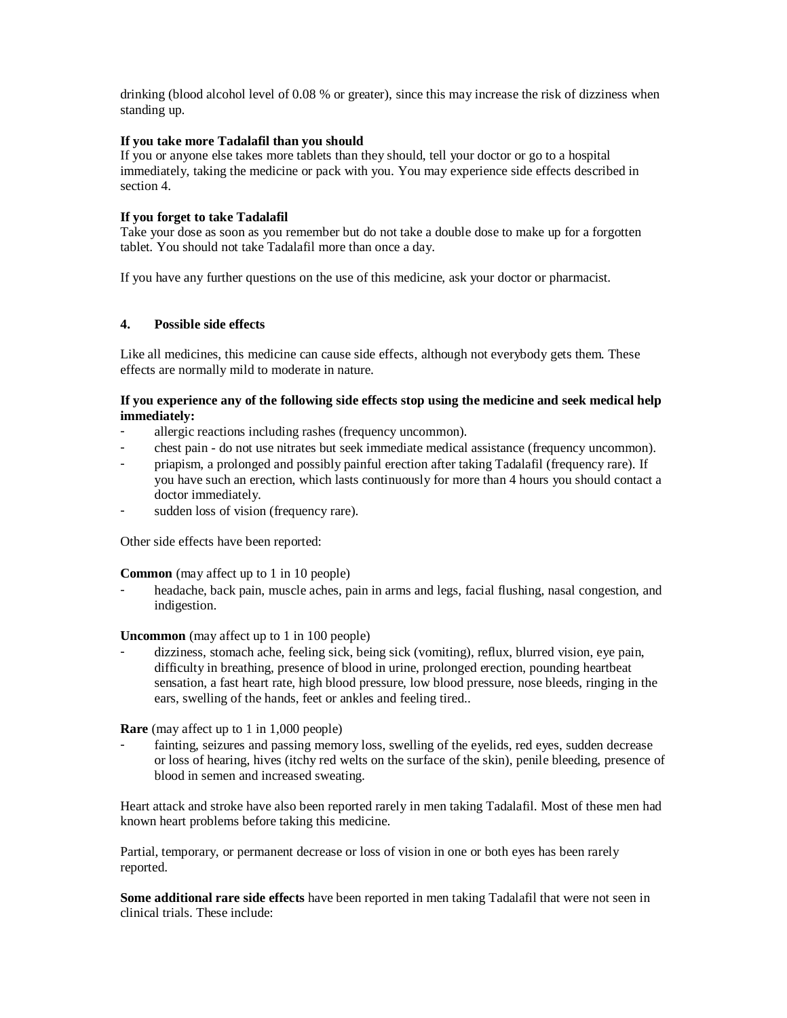drinking (blood alcohol level of 0.08 % or greater), since this may increase the risk of dizziness when standing up.

### **If you take more Tadalafil than you should**

If you or anyone else takes more tablets than they should, tell your doctor or go to a hospital immediately, taking the medicine or pack with you. You may experience side effects described in section 4.

#### **If you forget to take Tadalafil**

Take your dose as soon as you remember but do not take a double dose to make up for a forgotten tablet. You should not take Tadalafil more than once a day.

If you have any further questions on the use of this medicine, ask your doctor or pharmacist.

### **4. Possible side effects**

Like all medicines, this medicine can cause side effects, although not everybody gets them. These effects are normally mild to moderate in nature.

#### **If you experience any of the following side effects stop using the medicine and seek medical help immediately:**

- allergic reactions including rashes (frequency uncommon).
- chest pain do not use nitrates but seek immediate medical assistance (frequency uncommon).
- priapism, a prolonged and possibly painful erection after taking Tadalafil (frequency rare). If you have such an erection, which lasts continuously for more than 4 hours you should contact a doctor immediately.
- sudden loss of vision (frequency rare).

Other side effects have been reported:

**Common** (may affect up to 1 in 10 people)

 headache, back pain, muscle aches, pain in arms and legs, facial flushing, nasal congestion, and indigestion.

**Uncommon** (may affect up to 1 in 100 people)

 dizziness, stomach ache, feeling sick, being sick (vomiting), reflux, blurred vision, eye pain, difficulty in breathing, presence of blood in urine, prolonged erection, pounding heartbeat sensation, a fast heart rate, high blood pressure, low blood pressure, nose bleeds, ringing in the ears, swelling of the hands, feet or ankles and feeling tired..

**Rare** (may affect up to 1 in 1,000 people)

 fainting, seizures and passing memory loss, swelling of the eyelids, red eyes, sudden decrease or loss of hearing, hives (itchy red welts on the surface of the skin), penile bleeding, presence of blood in semen and increased sweating.

Heart attack and stroke have also been reported rarely in men taking Tadalafil. Most of these men had known heart problems before taking this medicine.

Partial, temporary, or permanent decrease or loss of vision in one or both eyes has been rarely reported.

**Some additional rare side effects** have been reported in men taking Tadalafil that were not seen in clinical trials. These include: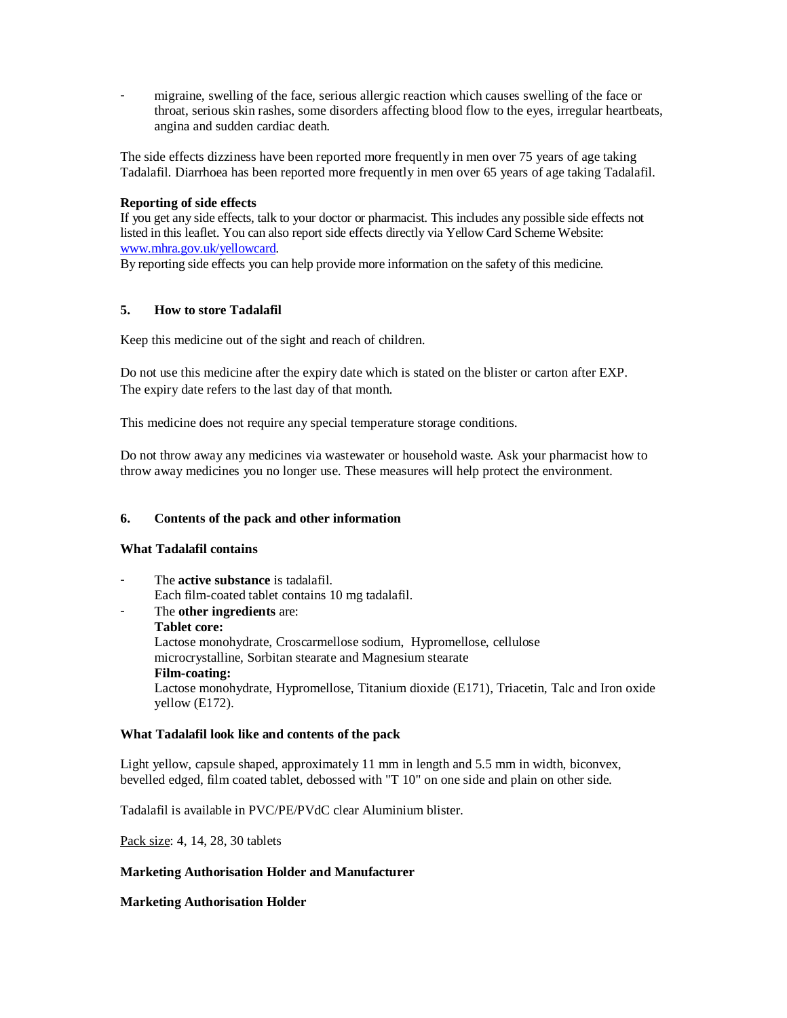migraine, swelling of the face, serious allergic reaction which causes swelling of the face or throat, serious skin rashes, some disorders affecting blood flow to the eyes, irregular heartbeats, angina and sudden cardiac death.

The side effects dizziness have been reported more frequently in men over 75 years of age taking Tadalafil. Diarrhoea has been reported more frequently in men over 65 years of age taking Tadalafil.

#### **Reporting of side effects**

If you get any side effects, talk to your doctor or pharmacist. This includes any possible side effects not listed in this leaflet. You can also report side effects directly via Yellow Card Scheme Website: www.mhra.gov.uk/yellowcard.

By reporting side effects you can help provide more information on the safety of this medicine.

## **5. How to store Tadalafil**

Keep this medicine out of the sight and reach of children.

Do not use this medicine after the expiry date which is stated on the blister or carton after EXP. The expiry date refers to the last day of that month.

This medicine does not require any special temperature storage conditions.

Do not throw away any medicines via wastewater or household waste. Ask your pharmacist how to throw away medicines you no longer use. These measures will help protect the environment.

#### **6. Contents of the pack and other information**

#### **What Tadalafil contains**

 The **active substance** is tadalafil. Each film-coated tablet contains 10 mg tadalafil.

 The **other ingredients** are: **Tablet core:**  Lactose monohydrate, Croscarmellose sodium, Hypromellose, cellulose microcrystalline, Sorbitan stearate and Magnesium stearate **Film-coating:** Lactose monohydrate, Hypromellose, Titanium dioxide (E171), Triacetin, Talc and Iron oxide yellow (E172).

#### **What Tadalafil look like and contents of the pack**

Light yellow, capsule shaped, approximately 11 mm in length and 5.5 mm in width, biconvex, bevelled edged, film coated tablet, debossed with "T 10" on one side and plain on other side.

Tadalafil is available in PVC/PE/PVdC clear Aluminium blister.

Pack size: 4, 14, 28, 30 tablets

#### **Marketing Authorisation Holder and Manufacturer**

# **Marketing Authorisation Holder**